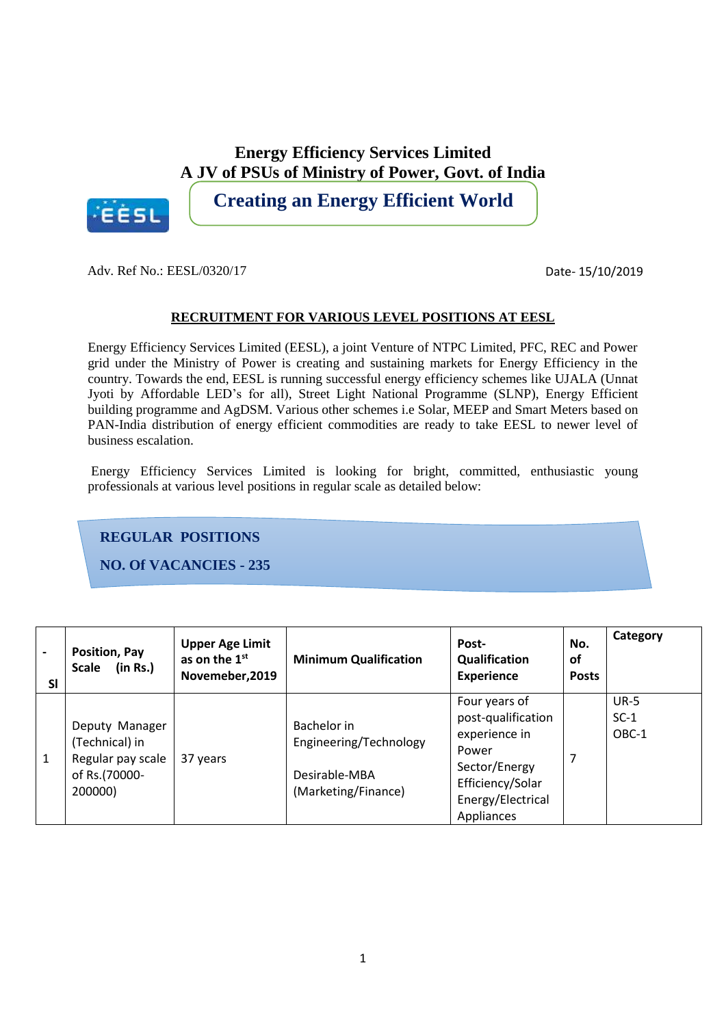**Energy Efficiency Services Limited A JV of PSUs of Ministry of Power, Govt. of India**



**Creating an Energy Efficient World**

Adv. Ref No.: EESL/0320/17

Date- 15/10/2019

#### **RECRUITMENT FOR VARIOUS LEVEL POSITIONS AT EESL**

Energy Efficiency Services Limited (EESL), a joint Venture of NTPC Limited, PFC, REC and Power grid under the Ministry of Power is creating and sustaining markets for Energy Efficiency in the country. Towards the end, EESL is running successful energy efficiency schemes like UJALA (Unnat Jyoti by Affordable LED's for all), Street Light National Programme (SLNP), Energy Efficient building programme and AgDSM. Various other schemes i.e Solar, MEEP and Smart Meters based on PAN-India distribution of energy efficient commodities are ready to take EESL to newer level of business escalation.

Energy Efficiency Services Limited is looking for bright, committed, enthusiastic young professionals at various level positions in regular scale as detailed below:

## **REGULAR POSITIONS**

**NO. Of VACANCIES - 235**

| $\blacksquare$<br><b>SI</b> | Position, Pay<br>(in Rs.)<br><b>Scale</b>                                         | <b>Upper Age Limit</b><br>as on the 1 <sup>st</sup><br>Novemeber, 2019 | <b>Minimum Qualification</b>                                                  | Post-<br>Qualification<br><b>Experience</b>                                                                                           | No.<br><b>of</b><br><b>Posts</b> | Category                       |
|-----------------------------|-----------------------------------------------------------------------------------|------------------------------------------------------------------------|-------------------------------------------------------------------------------|---------------------------------------------------------------------------------------------------------------------------------------|----------------------------------|--------------------------------|
| 1                           | Deputy Manager<br>(Technical) in<br>Regular pay scale<br>of Rs.(70000-<br>200000) | 37 years                                                               | Bachelor in<br>Engineering/Technology<br>Desirable-MBA<br>(Marketing/Finance) | Four years of<br>post-qualification<br>experience in<br>Power<br>Sector/Energy<br>Efficiency/Solar<br>Energy/Electrical<br>Appliances |                                  | <b>UR-5</b><br>$SC-1$<br>OBC-1 |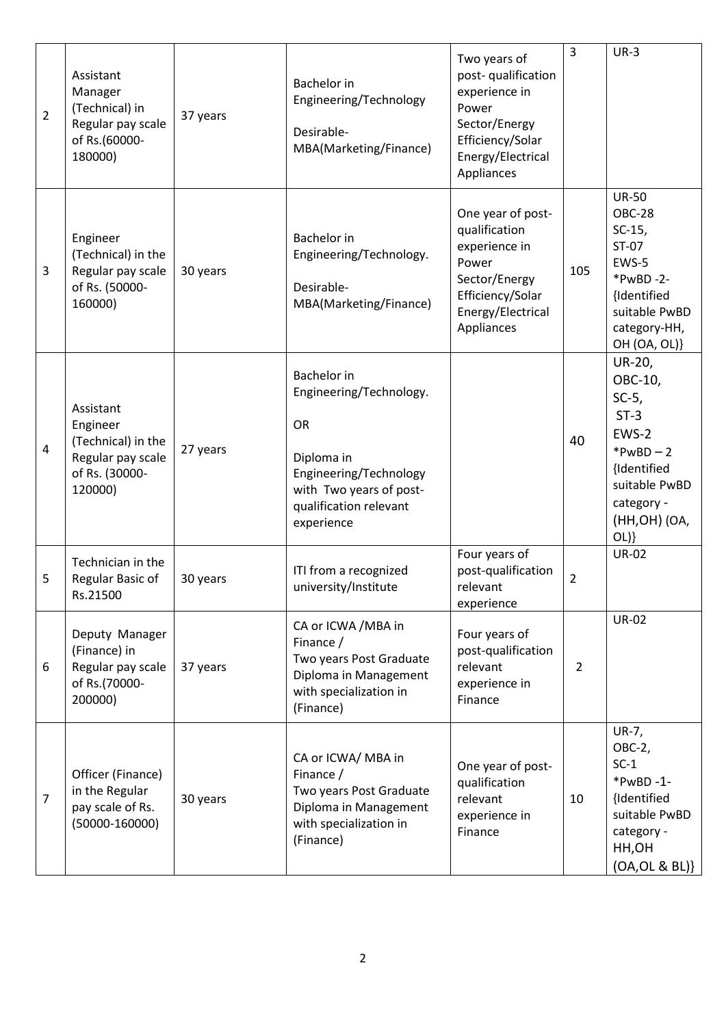| $\overline{2}$ | Assistant<br>Manager<br>(Technical) in<br>Regular pay scale<br>of Rs.(60000-<br>180000)       | 37 years | <b>Bachelor</b> in<br>Engineering/Technology<br>Desirable-<br>MBA(Marketing/Finance)                                                                                  | Two years of<br>post-qualification<br>experience in<br>Power<br>Sector/Energy<br>Efficiency/Solar<br>Energy/Electrical<br>Appliances | $\overline{3}$ | $UR-3$                                                                                                                                   |
|----------------|-----------------------------------------------------------------------------------------------|----------|-----------------------------------------------------------------------------------------------------------------------------------------------------------------------|--------------------------------------------------------------------------------------------------------------------------------------|----------------|------------------------------------------------------------------------------------------------------------------------------------------|
| 3              | Engineer<br>(Technical) in the<br>Regular pay scale<br>of Rs. (50000-<br>160000)              | 30 years | <b>Bachelor</b> in<br>Engineering/Technology.<br>Desirable-<br>MBA(Marketing/Finance)                                                                                 | One year of post-<br>qualification<br>experience in<br>Power<br>Sector/Energy<br>Efficiency/Solar<br>Energy/Electrical<br>Appliances | 105            | <b>UR-50</b><br><b>OBC-28</b><br>$SC-15$ ,<br>ST-07<br>EWS-5<br>*PwBD-2-<br>{Identified<br>suitable PwBD<br>category-HH,<br>OH (OA, OL)} |
| 4              | Assistant<br>Engineer<br>(Technical) in the<br>Regular pay scale<br>of Rs. (30000-<br>120000) | 27 years | <b>Bachelor</b> in<br>Engineering/Technology.<br><b>OR</b><br>Diploma in<br>Engineering/Technology<br>with Two years of post-<br>qualification relevant<br>experience |                                                                                                                                      | 40             | UR-20,<br>OBC-10,<br>$SC-5$ ,<br>$ST-3$<br>EWS-2<br>* $PwBD - 2$<br>{Identified<br>suitable PwBD<br>category -<br>(HH, OH) (OA,<br>OL)   |
| 5              | Technician in the<br>Regular Basic of<br>Rs.21500                                             | 30 years | ITI from a recognized<br>university/Institute                                                                                                                         | Four years of<br>post-qualification<br>relevant<br>experience                                                                        | $\overline{2}$ | <b>UR-02</b>                                                                                                                             |
| 6              | Deputy Manager<br>(Finance) in<br>Regular pay scale<br>of Rs.(70000-<br>200000)               | 37 years | CA or ICWA / MBA in<br>Finance /<br>Two years Post Graduate<br>Diploma in Management<br>with specialization in<br>(Finance)                                           | Four years of<br>post-qualification<br>relevant<br>experience in<br>Finance                                                          | $\overline{2}$ | <b>UR-02</b>                                                                                                                             |
| 7              | Officer (Finance)<br>in the Regular<br>pay scale of Rs.<br>$(50000 - 160000)$                 | 30 years | CA or ICWA/ MBA in<br>Finance /<br>Two years Post Graduate<br>Diploma in Management<br>with specialization in<br>(Finance)                                            | One year of post-<br>qualification<br>relevant<br>experience in<br>Finance                                                           | 10             | UR-7,<br>OBC-2,<br>$SC-1$<br>$*PwBD -1-$<br>{Identified<br>suitable PwBD<br>category -<br>HH,OH<br>(OA, OL & BL)                         |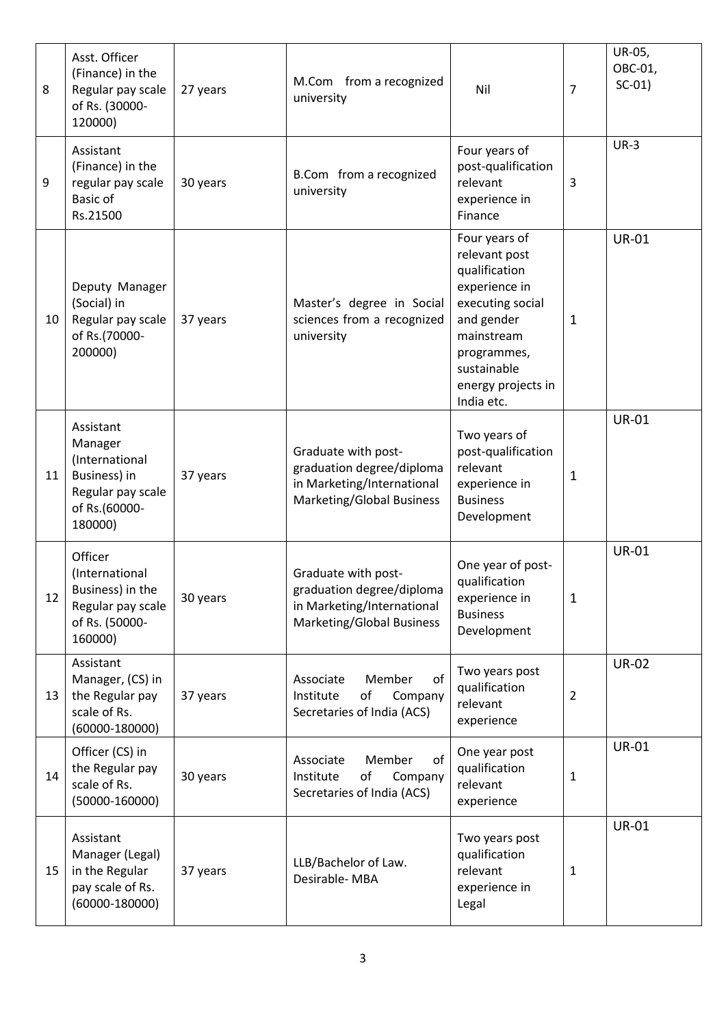| 8  | Asst. Officer<br>(Finance) in the<br>Regular pay scale<br>of Rs. (30000-<br>120000)                     | 27 years | M.Com from a recognized<br>university                                                                              | Nil                                                                                                                                                                                | 7              | UR-05,<br>OBC-01,<br>$SC-01$ |
|----|---------------------------------------------------------------------------------------------------------|----------|--------------------------------------------------------------------------------------------------------------------|------------------------------------------------------------------------------------------------------------------------------------------------------------------------------------|----------------|------------------------------|
| 9  | Assistant<br>(Finance) in the<br>regular pay scale<br>Basic of<br>Rs.21500                              | 30 years | B.Com from a recognized<br>university                                                                              | Four years of<br>post-qualification<br>relevant<br>experience in<br>Finance                                                                                                        | 3              | $UR-3$                       |
| 10 | Deputy Manager<br>(Social) in<br>Regular pay scale<br>of Rs.(70000-<br>200000)                          | 37 years | Master's degree in Social<br>sciences from a recognized<br>university                                              | Four years of<br>relevant post<br>qualification<br>experience in<br>executing social<br>and gender<br>mainstream<br>programmes,<br>sustainable<br>energy projects in<br>India etc. | 1              | <b>UR-01</b>                 |
| 11 | Assistant<br>Manager<br>(International<br>Business) in<br>Regular pay scale<br>of Rs.(60000-<br>180000) | 37 years | Graduate with post-<br>graduation degree/diploma<br>in Marketing/International<br><b>Marketing/Global Business</b> | Two years of<br>post-qualification<br>relevant<br>experience in<br><b>Business</b><br>Development                                                                                  | 1              | <b>UR-01</b>                 |
| 12 | Officer<br>(International<br>Business) in the<br>Regular pay scale<br>of Rs. (50000-<br>160000)         | 30 years | Graduate with post-<br>graduation degree/diploma<br>in Marketing/International<br>Marketing/Global Business        | One year of post-<br>qualification<br>experience in<br><b>Business</b><br>Development                                                                                              | 1              | <b>UR-01</b>                 |
| 13 | Assistant<br>Manager, (CS) in<br>the Regular pay<br>scale of Rs.<br>$(60000 - 180000)$                  | 37 years | of<br>Member<br>Associate<br>of<br>Institute<br>Company<br>Secretaries of India (ACS)                              | Two years post<br>qualification<br>relevant<br>experience                                                                                                                          | $\overline{2}$ | <b>UR-02</b>                 |
| 14 | Officer (CS) in<br>the Regular pay<br>scale of Rs.<br>$(50000 - 160000)$                                | 30 years | of<br>Associate<br>Member<br>of<br>Company<br>Institute<br>Secretaries of India (ACS)                              | One year post<br>qualification<br>relevant<br>experience                                                                                                                           | 1              | <b>UR-01</b>                 |
| 15 | Assistant<br>Manager (Legal)<br>in the Regular<br>pay scale of Rs.<br>$(60000 - 180000)$                | 37 years | LLB/Bachelor of Law.<br>Desirable-MBA                                                                              | Two years post<br>qualification<br>relevant<br>experience in<br>Legal                                                                                                              | 1              | <b>UR-01</b>                 |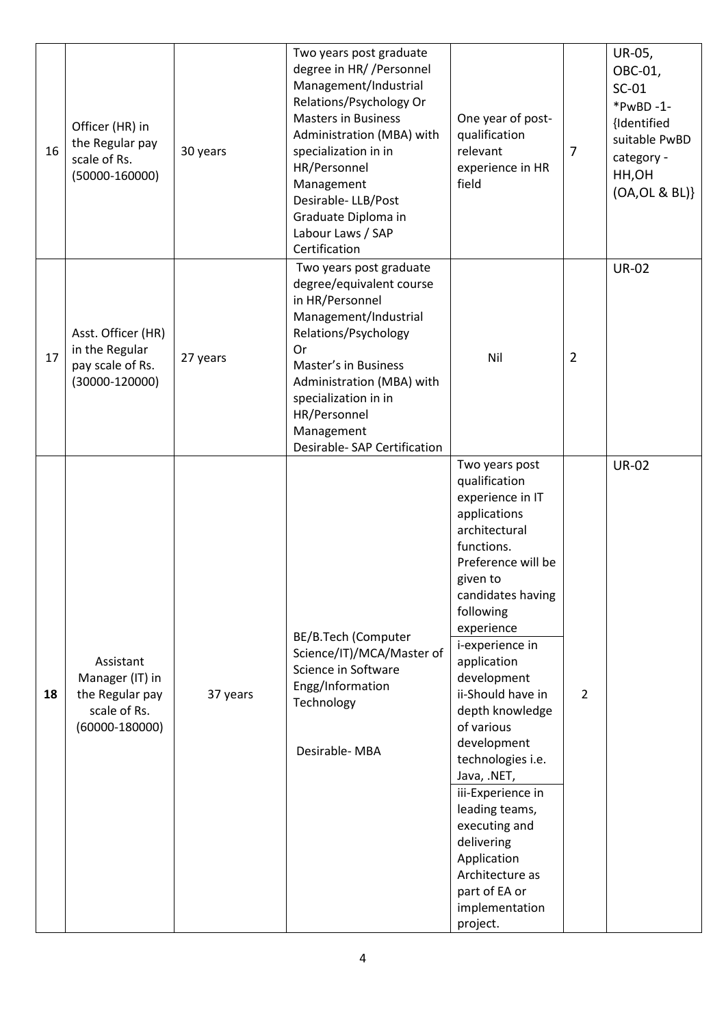| 16 | Officer (HR) in<br>the Regular pay<br>scale of Rs.<br>$(50000 - 160000)$              | 30 years | Two years post graduate<br>degree in HR//Personnel<br>Management/Industrial<br>Relations/Psychology Or<br><b>Masters in Business</b><br>Administration (MBA) with<br>specialization in in<br>HR/Personnel<br>Management<br>Desirable-LLB/Post<br>Graduate Diploma in<br>Labour Laws / SAP<br>Certification | One year of post-<br>qualification<br>relevant<br>experience in HR<br>field                                                                                                                                                                                                                                                                                                                                                                                                                           | 7              | UR-05,<br>OBC-01,<br>$SC-01$<br>*PwBD-1-<br>{Identified<br>suitable PwBD<br>category -<br>HH,OH<br>(OA, OL & BL)} |
|----|---------------------------------------------------------------------------------------|----------|------------------------------------------------------------------------------------------------------------------------------------------------------------------------------------------------------------------------------------------------------------------------------------------------------------|-------------------------------------------------------------------------------------------------------------------------------------------------------------------------------------------------------------------------------------------------------------------------------------------------------------------------------------------------------------------------------------------------------------------------------------------------------------------------------------------------------|----------------|-------------------------------------------------------------------------------------------------------------------|
| 17 | Asst. Officer (HR)<br>in the Regular<br>pay scale of Rs.<br>$(30000 - 120000)$        | 27 years | Two years post graduate<br>degree/equivalent course<br>in HR/Personnel<br>Management/Industrial<br>Relations/Psychology<br>Or<br>Master's in Business<br>Administration (MBA) with<br>specialization in in<br>HR/Personnel<br>Management<br>Desirable- SAP Certification                                   | Nil                                                                                                                                                                                                                                                                                                                                                                                                                                                                                                   | $\overline{2}$ | <b>UR-02</b>                                                                                                      |
| 18 | Assistant<br>Manager (IT) in<br>the Regular pay<br>scale of Rs.<br>$(60000 - 180000)$ | 37 years | BE/B.Tech (Computer<br>Science/IT)/MCA/Master of<br>Science in Software<br>Engg/Information<br>Technology<br>Desirable-MBA                                                                                                                                                                                 | Two years post<br>qualification<br>experience in IT<br>applications<br>architectural<br>functions.<br>Preference will be<br>given to<br>candidates having<br>following<br>experience<br>i-experience in<br>application<br>development<br>ii-Should have in<br>depth knowledge<br>of various<br>development<br>technologies i.e.<br>Java, .NET,<br>iii-Experience in<br>leading teams,<br>executing and<br>delivering<br>Application<br>Architecture as<br>part of EA or<br>implementation<br>project. | $\overline{2}$ | <b>UR-02</b>                                                                                                      |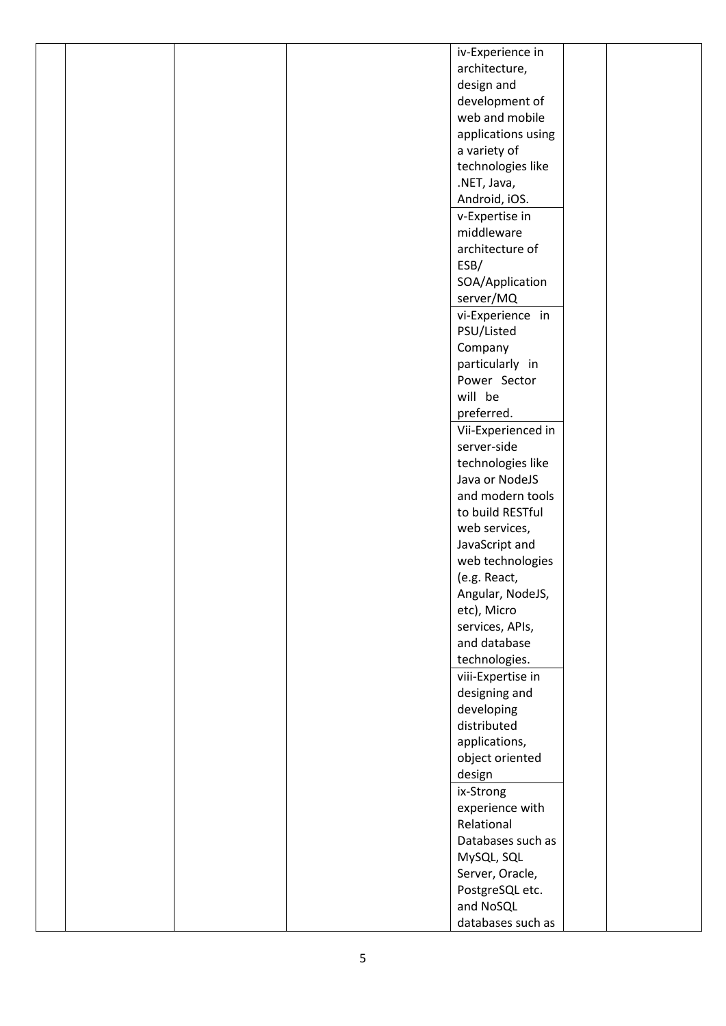|  |  | iv-Experience in                |  |
|--|--|---------------------------------|--|
|  |  | architecture,                   |  |
|  |  | design and                      |  |
|  |  | development of                  |  |
|  |  | web and mobile                  |  |
|  |  | applications using              |  |
|  |  | a variety of                    |  |
|  |  | technologies like               |  |
|  |  | .NET, Java,                     |  |
|  |  | Android, iOS.                   |  |
|  |  | v-Expertise in                  |  |
|  |  | middleware                      |  |
|  |  | architecture of                 |  |
|  |  | ESB/                            |  |
|  |  | SOA/Application                 |  |
|  |  | server/MQ                       |  |
|  |  | vi-Experience in                |  |
|  |  | PSU/Listed                      |  |
|  |  |                                 |  |
|  |  | Company                         |  |
|  |  | particularly in<br>Power Sector |  |
|  |  | will be                         |  |
|  |  |                                 |  |
|  |  | preferred.                      |  |
|  |  | Vii-Experienced in              |  |
|  |  | server-side                     |  |
|  |  | technologies like               |  |
|  |  | Java or NodeJS                  |  |
|  |  | and modern tools                |  |
|  |  | to build RESTful                |  |
|  |  | web services,                   |  |
|  |  | JavaScript and                  |  |
|  |  | web technologies                |  |
|  |  | (e.g. React,                    |  |
|  |  | Angular, NodeJS,                |  |
|  |  | etc), Micro                     |  |
|  |  | services, APIs,                 |  |
|  |  | and database                    |  |
|  |  | technologies.                   |  |
|  |  | viii-Expertise in               |  |
|  |  | designing and                   |  |
|  |  | developing                      |  |
|  |  | distributed                     |  |
|  |  | applications,                   |  |
|  |  | object oriented                 |  |
|  |  | design                          |  |
|  |  | ix-Strong                       |  |
|  |  | experience with                 |  |
|  |  | Relational                      |  |
|  |  | Databases such as               |  |
|  |  | MySQL, SQL                      |  |
|  |  | Server, Oracle,                 |  |
|  |  | PostgreSQL etc.                 |  |
|  |  | and NoSQL                       |  |
|  |  | databases such as               |  |
|  |  |                                 |  |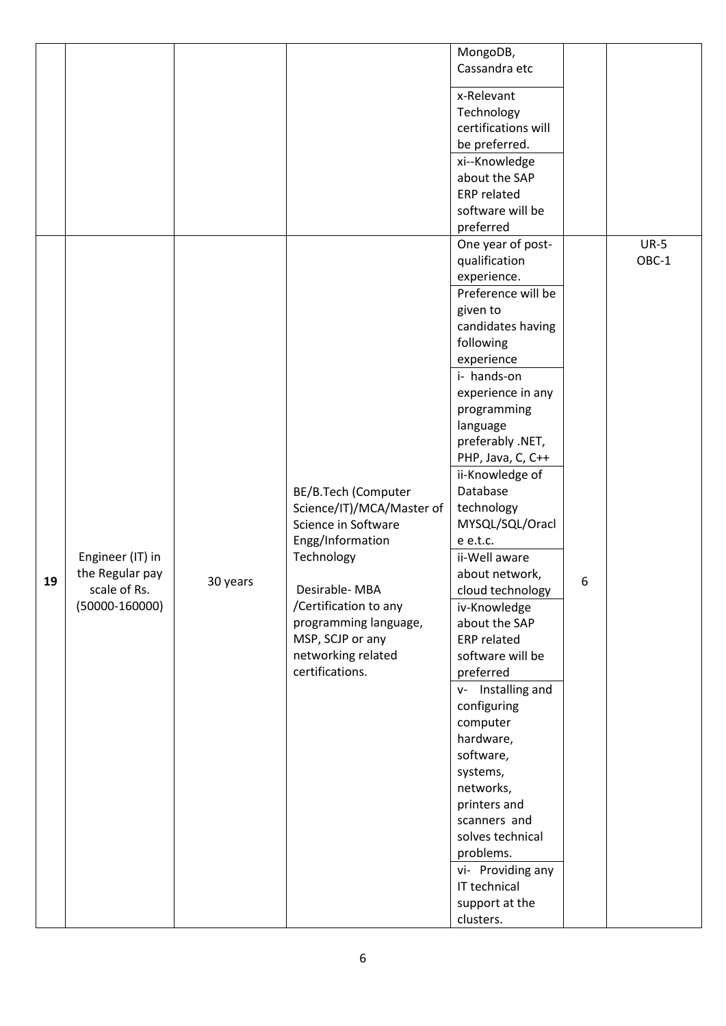|    |                                                                           |          |                                                                                                                                                                                                                                           | MongoDB,<br>Cassandra etc<br>x-Relevant                                                                                                                                                                                                                                                                                                                                                                                                                                                                                                                                                                                                                                                                        |   |                 |
|----|---------------------------------------------------------------------------|----------|-------------------------------------------------------------------------------------------------------------------------------------------------------------------------------------------------------------------------------------------|----------------------------------------------------------------------------------------------------------------------------------------------------------------------------------------------------------------------------------------------------------------------------------------------------------------------------------------------------------------------------------------------------------------------------------------------------------------------------------------------------------------------------------------------------------------------------------------------------------------------------------------------------------------------------------------------------------------|---|-----------------|
|    |                                                                           |          |                                                                                                                                                                                                                                           | Technology<br>certifications will<br>be preferred.<br>xi--Knowledge<br>about the SAP<br><b>ERP</b> related                                                                                                                                                                                                                                                                                                                                                                                                                                                                                                                                                                                                     |   |                 |
|    |                                                                           |          |                                                                                                                                                                                                                                           | software will be<br>preferred                                                                                                                                                                                                                                                                                                                                                                                                                                                                                                                                                                                                                                                                                  |   |                 |
| 19 | Engineer (IT) in<br>the Regular pay<br>scale of Rs.<br>$(50000 - 160000)$ | 30 years | BE/B.Tech (Computer<br>Science/IT)/MCA/Master of<br>Science in Software<br>Engg/Information<br>Technology<br>Desirable-MBA<br>/Certification to any<br>programming language,<br>MSP, SCJP or any<br>networking related<br>certifications. | One year of post-<br>qualification<br>experience.<br>Preference will be<br>given to<br>candidates having<br>following<br>experience<br>i- hands-on<br>experience in any<br>programming<br>language<br>preferably .NET,<br>PHP, Java, C, C++<br>ii-Knowledge of<br>Database<br>technology<br>MYSQL/SQL/Oracl<br>e e.t.c.<br>ii-Well aware<br>about network,<br>cloud technology<br>iv-Knowledge<br>about the SAP<br><b>ERP</b> related<br>software will be<br>preferred<br>v- Installing and<br>configuring<br>computer<br>hardware,<br>software,<br>systems,<br>networks,<br>printers and<br>scanners and<br>solves technical<br>problems.<br>vi- Providing any<br>IT technical<br>support at the<br>clusters. | 6 | $UR-5$<br>OBC-1 |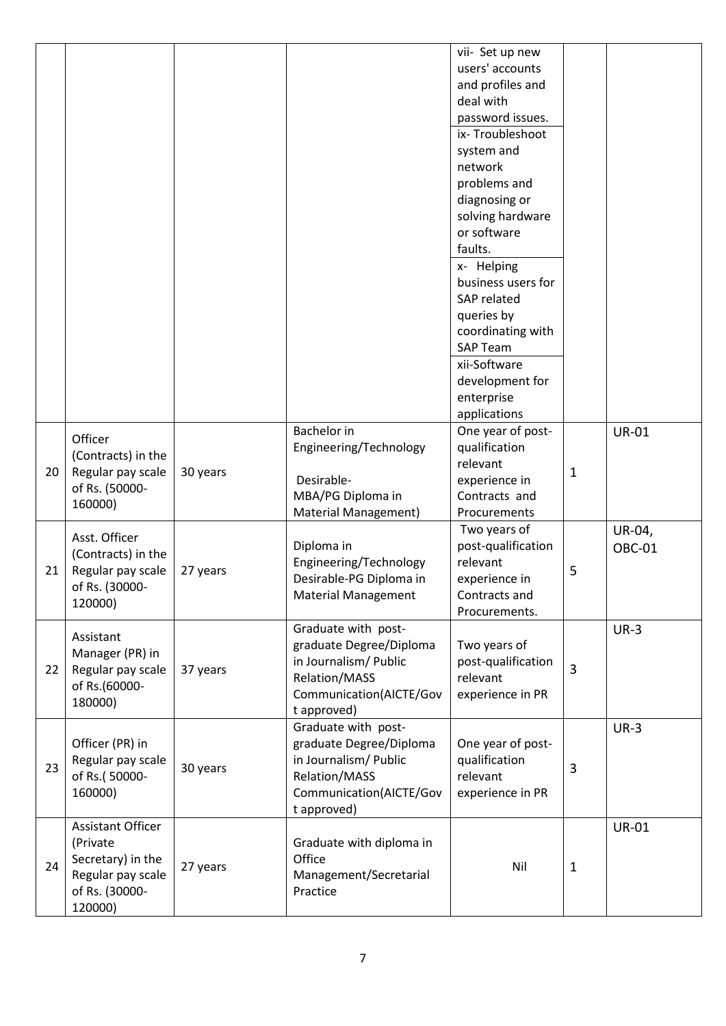|    |                                                                                                      |          |                                                                                                                                    | vii- Set up new<br>users' accounts<br>and profiles and<br>deal with<br>password issues.<br>ix-Troubleshoot<br>system and<br>network<br>problems and<br>diagnosing or<br>solving hardware<br>or software<br>faults.<br>x- Helping<br>business users for<br>SAP related<br>queries by<br>coordinating with<br><b>SAP Team</b><br>xii-Software<br>development for<br>enterprise<br>applications |                |                  |
|----|------------------------------------------------------------------------------------------------------|----------|------------------------------------------------------------------------------------------------------------------------------------|----------------------------------------------------------------------------------------------------------------------------------------------------------------------------------------------------------------------------------------------------------------------------------------------------------------------------------------------------------------------------------------------|----------------|------------------|
| 20 | Officer<br>(Contracts) in the<br>Regular pay scale<br>of Rs. (50000-<br>160000)                      | 30 years | <b>Bachelor</b> in<br>Engineering/Technology<br>Desirable-<br>MBA/PG Diploma in<br>Material Management)                            | One year of post-<br>qualification<br>relevant<br>experience in<br>Contracts and<br>Procurements                                                                                                                                                                                                                                                                                             | $\mathbf 1$    | <b>UR-01</b>     |
| 21 | Asst. Officer<br>(Contracts) in the<br>Regular pay scale<br>of Rs. (30000-<br>120000)                | 27 years | Diploma in<br>Engineering/Technology<br>Desirable-PG Diploma in<br><b>Material Management</b>                                      | Two years of<br>post-qualification<br>relevant<br>experience in<br>Contracts and<br>Procurements.                                                                                                                                                                                                                                                                                            | 5              | UR-04,<br>OBC-01 |
| 22 | Assistant<br>Manager (PR) in<br>Regular pay scale<br>of Rs.(60000-<br>180000)                        | 37 years | Graduate with post-<br>graduate Degree/Diploma<br>in Journalism/ Public<br>Relation/MASS<br>Communication(AICTE/Gov<br>t approved) | Two years of<br>post-qualification<br>relevant<br>experience in PR                                                                                                                                                                                                                                                                                                                           | $\overline{3}$ | $UR-3$           |
| 23 | Officer (PR) in<br>Regular pay scale<br>of Rs.(50000-<br>160000)                                     | 30 years | Graduate with post-<br>graduate Degree/Diploma<br>in Journalism/ Public<br>Relation/MASS<br>Communication(AICTE/Gov<br>t approved) | One year of post-<br>qualification<br>relevant<br>experience in PR                                                                                                                                                                                                                                                                                                                           | 3              | $UR-3$           |
| 24 | Assistant Officer<br>(Private<br>Secretary) in the<br>Regular pay scale<br>of Rs. (30000-<br>120000) | 27 years | Graduate with diploma in<br>Office<br>Management/Secretarial<br>Practice                                                           | Nil                                                                                                                                                                                                                                                                                                                                                                                          | $\mathbf{1}$   | <b>UR-01</b>     |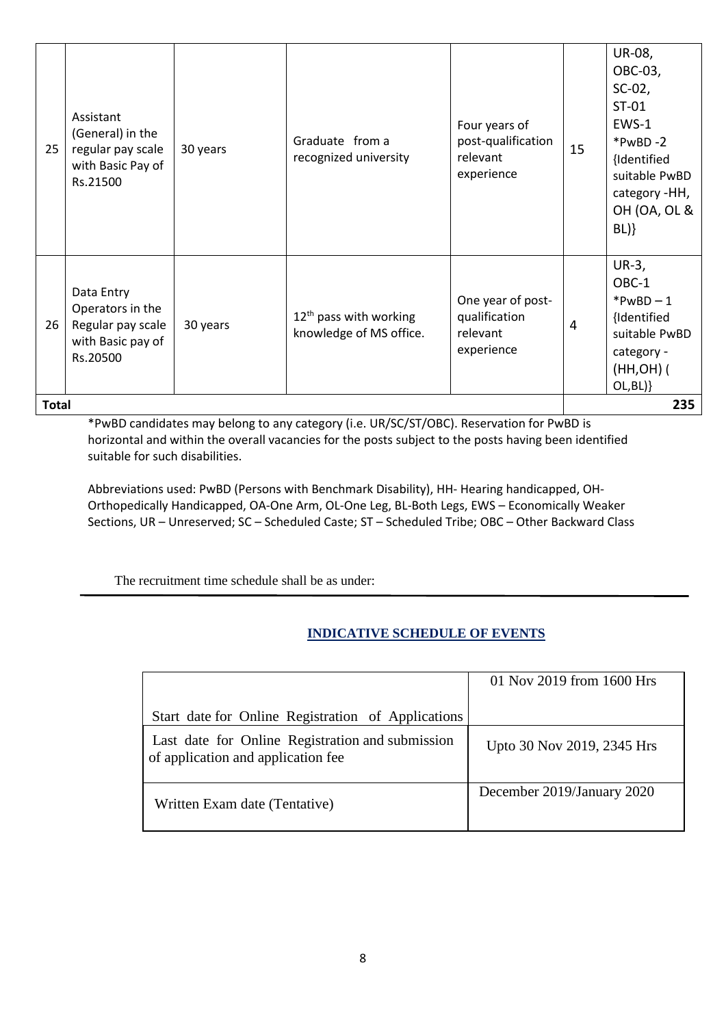|    | <b>Total</b>                                                                         |          |                                                     |                                                               |                | 235                                                                                                                                       |
|----|--------------------------------------------------------------------------------------|----------|-----------------------------------------------------|---------------------------------------------------------------|----------------|-------------------------------------------------------------------------------------------------------------------------------------------|
| 26 | Data Entry<br>Operators in the<br>Regular pay scale<br>with Basic pay of<br>Rs.20500 | 30 years | $12th$ pass with working<br>knowledge of MS office. | One year of post-<br>qualification<br>relevant<br>experience  | $\overline{4}$ | $UR-3,$<br>OBC-1<br>$*PwBD - 1$<br>{Identified<br>suitable PwBD<br>category -<br>$(HH, OH)$ (<br>OL, BL)                                  |
| 25 | Assistant<br>(General) in the<br>regular pay scale<br>with Basic Pay of<br>Rs.21500  | 30 years | Graduate from a<br>recognized university            | Four years of<br>post-qualification<br>relevant<br>experience | 15             | UR-08,<br>OBC-03,<br>$SC-02$ ,<br>$ST-01$<br>EWS-1<br>$*PwBD - 2$<br>{Identified<br>suitable PwBD<br>category -HH,<br>OH (OA, OL &<br>BL) |

\*PwBD candidates may belong to any category (i.e. UR/SC/ST/OBC). Reservation for PwBD is horizontal and within the overall vacancies for the posts subject to the posts having been identified suitable for such disabilities.

Abbreviations used: PwBD (Persons with Benchmark Disability), HH- Hearing handicapped, OH-Orthopedically Handicapped, OA-One Arm, OL-One Leg, BL-Both Legs, EWS – Economically Weaker Sections, UR – Unreserved; SC – Scheduled Caste; ST – Scheduled Tribe; OBC – Other Backward Class

The recruitment time schedule shall be as under:

## **INDICATIVE SCHEDULE OF EVENTS**

| Start date for Online Registration of Applications                                     | 01 Nov 2019 from 1600 Hrs  |
|----------------------------------------------------------------------------------------|----------------------------|
| Last date for Online Registration and submission<br>of application and application fee | Upto 30 Nov 2019, 2345 Hrs |
| Written Exam date (Tentative)                                                          | December 2019/January 2020 |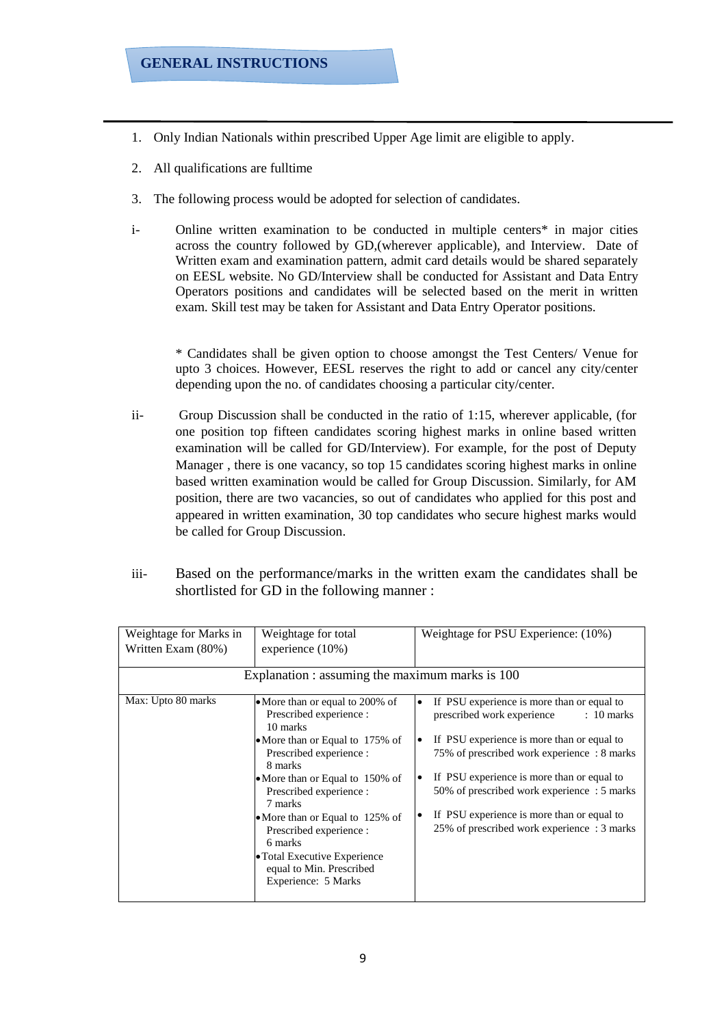- 1. Only Indian Nationals within prescribed Upper Age limit are eligible to apply.
- 2. All qualifications are fulltime
- 3. The following process would be adopted for selection of candidates.
- i- Online written examination to be conducted in multiple centers\* in major cities across the country followed by GD,(wherever applicable), and Interview. Date of Written exam and examination pattern, admit card details would be shared separately on EESL website. No GD/Interview shall be conducted for Assistant and Data Entry Operators positions and candidates will be selected based on the merit in written exam. Skill test may be taken for Assistant and Data Entry Operator positions.

\* Candidates shall be given option to choose amongst the Test Centers/ Venue for upto 3 choices. However, EESL reserves the right to add or cancel any city/center depending upon the no. of candidates choosing a particular city/center.

- ii- Group Discussion shall be conducted in the ratio of 1:15, wherever applicable, (for one position top fifteen candidates scoring highest marks in online based written examination will be called for GD/Interview). For example, for the post of Deputy Manager , there is one vacancy, so top 15 candidates scoring highest marks in online based written examination would be called for Group Discussion. Similarly, for AM position, there are two vacancies, so out of candidates who applied for this post and appeared in written examination, 30 top candidates who secure highest marks would be called for Group Discussion.
- iii- Based on the performance/marks in the written exam the candidates shall be shortlisted for GD in the following manner :

| Weightage for Marks in<br>Written Exam (80%) | Weightage for total<br>experience $(10\%)$<br>Explanation : assuming the maximum marks is 100                                                                                                                                                                                                                                                                                        | Weightage for PSU Experience: (10%)                                                                                                                                                                                                                                                                                                                                                                       |
|----------------------------------------------|--------------------------------------------------------------------------------------------------------------------------------------------------------------------------------------------------------------------------------------------------------------------------------------------------------------------------------------------------------------------------------------|-----------------------------------------------------------------------------------------------------------------------------------------------------------------------------------------------------------------------------------------------------------------------------------------------------------------------------------------------------------------------------------------------------------|
| Max: Upto 80 marks                           | • More than or equal to 200% of<br>Prescribed experience :<br>10 marks<br>• More than or Equal to 175% of<br>Prescribed experience :<br>8 marks<br>• More than or Equal to 150% of<br>Prescribed experience :<br>7 marks<br>• More than or Equal to 125% of<br>Prescribed experience :<br>6 marks<br>• Total Executive Experience<br>equal to Min. Prescribed<br>Experience: 5 Marks | If PSU experience is more than or equal to<br>$\bullet$<br>prescribed work experience<br>$: 10$ marks<br>If PSU experience is more than or equal to<br>$\bullet$<br>75% of prescribed work experience : 8 marks<br>If PSU experience is more than or equal to<br>50% of prescribed work experience : 5 marks<br>If PSU experience is more than or equal to<br>25% of prescribed work experience : 3 marks |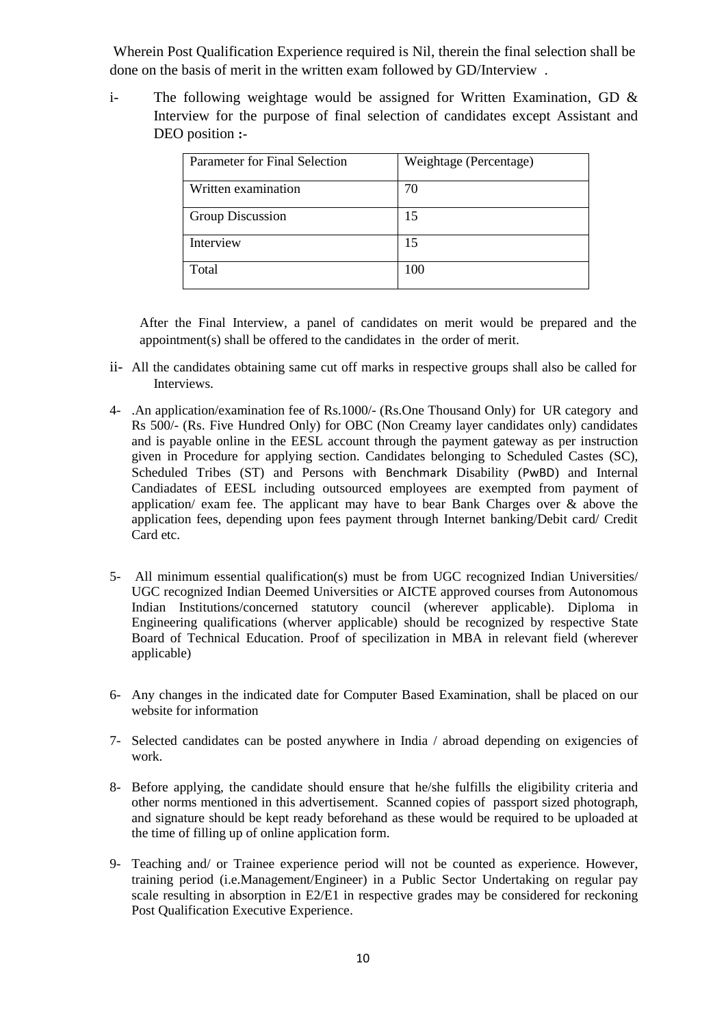Wherein Post Qualification Experience required is Nil, therein the final selection shall be done on the basis of merit in the written exam followed by GD/Interview .

i- The following weightage would be assigned for Written Examination, GD & Interview for the purpose of final selection of candidates except Assistant and DEO position **:-**

| Parameter for Final Selection | Weightage (Percentage) |
|-------------------------------|------------------------|
| Written examination           | 70                     |
| Group Discussion              | 15                     |
| Interview                     | 15                     |
| Total                         | 100                    |

After the Final Interview, a panel of candidates on merit would be prepared and the appointment(s) shall be offered to the candidates in the order of merit.

- ii- All the candidates obtaining same cut off marks in respective groups shall also be called for Interviews.
- 4- .An application/examination fee of Rs.1000/- (Rs.One Thousand Only) for UR category and Rs 500/- (Rs. Five Hundred Only) for OBC (Non Creamy layer candidates only) candidates and is payable online in the EESL account through the payment gateway as per instruction given in Procedure for applying section. Candidates belonging to Scheduled Castes (SC), Scheduled Tribes (ST) and Persons with Benchmark Disability (PwBD) and Internal Candiadates of EESL including outsourced employees are exempted from payment of application/ exam fee. The applicant may have to bear Bank Charges over  $\&$  above the application fees, depending upon fees payment through Internet banking/Debit card/ Credit Card etc.
- 5- All minimum essential qualification(s) must be from UGC recognized Indian Universities/ UGC recognized Indian Deemed Universities or AICTE approved courses from Autonomous Indian Institutions/concerned statutory council (wherever applicable). Diploma in Engineering qualifications (wherver applicable) should be recognized by respective State Board of Technical Education. Proof of specilization in MBA in relevant field (wherever applicable)
- 6- Any changes in the indicated date for Computer Based Examination, shall be placed on our website for information
- 7- Selected candidates can be posted anywhere in India / abroad depending on exigencies of work.
- 8- Before applying, the candidate should ensure that he/she fulfills the eligibility criteria and other norms mentioned in this advertisement. Scanned copies of passport sized photograph, and signature should be kept ready beforehand as these would be required to be uploaded at the time of filling up of online application form.
- 9- Teaching and/ or Trainee experience period will not be counted as experience. However, training period (i.e.Management/Engineer) in a Public Sector Undertaking on regular pay scale resulting in absorption in E2/E1 in respective grades may be considered for reckoning Post Qualification Executive Experience.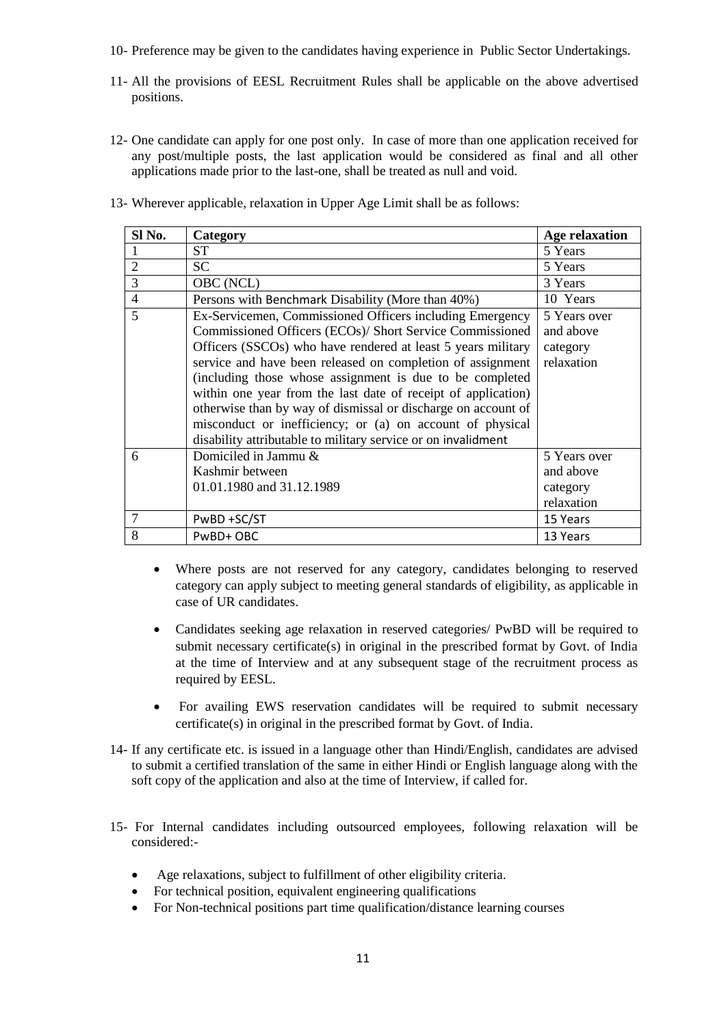- 10- Preference may be given to the candidates having experience in Public Sector Undertakings.
- 11- All the provisions of EESL Recruitment Rules shall be applicable on the above advertised positions.
- 12- One candidate can apply for one post only. In case of more than one application received for any post/multiple posts, the last application would be considered as final and all other applications made prior to the last-one, shall be treated as null and void.
- 13- Wherever applicable, relaxation in Upper Age Limit shall be as follows:

| Sl No.         | Category                                                                                                                                                                                                                                                                                                                                                                                                                                                                                                                                                                       | <b>Age relaxation</b>                               |
|----------------|--------------------------------------------------------------------------------------------------------------------------------------------------------------------------------------------------------------------------------------------------------------------------------------------------------------------------------------------------------------------------------------------------------------------------------------------------------------------------------------------------------------------------------------------------------------------------------|-----------------------------------------------------|
|                | <b>ST</b>                                                                                                                                                                                                                                                                                                                                                                                                                                                                                                                                                                      | 5 Years                                             |
| $\overline{2}$ | <b>SC</b>                                                                                                                                                                                                                                                                                                                                                                                                                                                                                                                                                                      | 5 Years                                             |
| 3              | OBC (NCL)                                                                                                                                                                                                                                                                                                                                                                                                                                                                                                                                                                      | 3 Years                                             |
| $\overline{4}$ | Persons with Benchmark Disability (More than 40%)                                                                                                                                                                                                                                                                                                                                                                                                                                                                                                                              | 10 Years                                            |
| 5              | Ex-Servicemen, Commissioned Officers including Emergency<br>Commissioned Officers (ECOs)/ Short Service Commissioned<br>Officers (SSCOs) who have rendered at least 5 years military<br>service and have been released on completion of assignment<br>(including those whose assignment is due to be completed<br>within one year from the last date of receipt of application)<br>otherwise than by way of dismissal or discharge on account of<br>misconduct or inefficiency; or (a) on account of physical<br>disability attributable to military service or on invalidment | 5 Years over<br>and above<br>category<br>relaxation |
| 6              | Domiciled in Jammu &<br>Kashmir between<br>01.01.1980 and 31.12.1989                                                                                                                                                                                                                                                                                                                                                                                                                                                                                                           | 5 Years over<br>and above<br>category<br>relaxation |
| $\overline{7}$ | PwBD +SC/ST                                                                                                                                                                                                                                                                                                                                                                                                                                                                                                                                                                    | 15 Years                                            |
| 8              | PwBD+OBC                                                                                                                                                                                                                                                                                                                                                                                                                                                                                                                                                                       | 13 Years                                            |

- Where posts are not reserved for any category, candidates belonging to reserved category can apply subject to meeting general standards of eligibility, as applicable in case of UR candidates.
- Candidates seeking age relaxation in reserved categories/ PwBD will be required to submit necessary certificate(s) in original in the prescribed format by Govt. of India at the time of Interview and at any subsequent stage of the recruitment process as required by EESL.
- For availing EWS reservation candidates will be required to submit necessary certificate(s) in original in the prescribed format by Govt. of India.
- 14- If any certificate etc. is issued in a language other than Hindi/English, candidates are advised to submit a certified translation of the same in either Hindi or English language along with the soft copy of the application and also at the time of Interview, if called for.
- 15- For Internal candidates including outsourced employees, following relaxation will be considered:-
	- Age relaxations, subject to fulfillment of other eligibility criteria.
	- For technical position, equivalent engineering qualifications
	- For Non-technical positions part time qualification/distance learning courses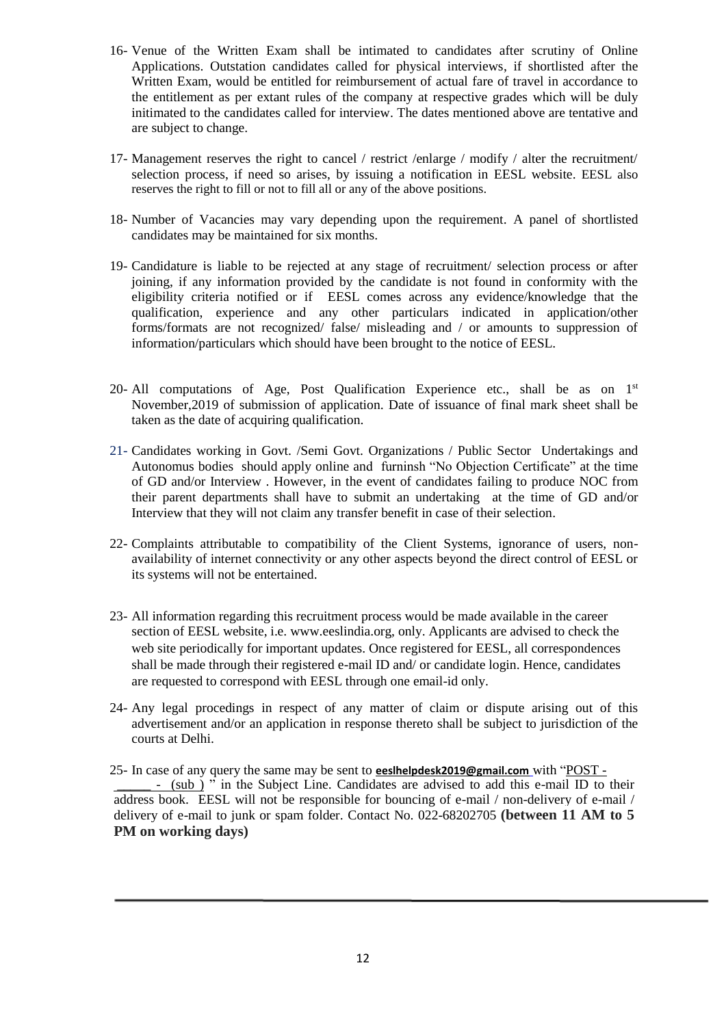- 16- Venue of the Written Exam shall be intimated to candidates after scrutiny of Online Applications. Outstation candidates called for physical interviews, if shortlisted after the Written Exam, would be entitled for reimbursement of actual fare of travel in accordance to the entitlement as per extant rules of the company at respective grades which will be duly initimated to the candidates called for interview. The dates mentioned above are tentative and are subject to change.
- 17- Management reserves the right to cancel / restrict /enlarge / modify / alter the recruitment/ selection process, if need so arises, by issuing a notification in EESL website. EESL also reserves the right to fill or not to fill all or any of the above positions.
- 18- Number of Vacancies may vary depending upon the requirement. A panel of shortlisted candidates may be maintained for six months.
- 19- Candidature is liable to be rejected at any stage of recruitment/ selection process or after joining, if any information provided by the candidate is not found in conformity with the eligibility criteria notified or if EESL comes across any evidence/knowledge that the qualification, experience and any other particulars indicated in application/other forms/formats are not recognized/ false/ misleading and / or amounts to suppression of information/particulars which should have been brought to the notice of EESL.
- 20- All computations of Age, Post Qualification Experience etc., shall be as on 1st November,2019 of submission of application. Date of issuance of final mark sheet shall be taken as the date of acquiring qualification.
- 21- Candidates working in Govt. /Semi Govt. Organizations / Public Sector Undertakings and Autonomus bodies should apply online and furninsh "No Objection Certificate" at the time of GD and/or Interview . However, in the event of candidates failing to produce NOC from their parent departments shall have to submit an undertaking at the time of GD and/or Interview that they will not claim any transfer benefit in case of their selection.
- 22- Complaints attributable to compatibility of the Client Systems, ignorance of users, nonavailability of internet connectivity or any other aspects beyond the direct control of EESL or its systems will not be entertained.
- 23- All information regarding this recruitment process would be made available in the career section of EESL website, i.e. www.eeslindia.org, only. Applicants are advised to check the web site periodically for important updates. Once registered for EESL, all correspondences shall be made through their registered e-mail ID and/ or candidate login. Hence, candidates are requested to correspond with EESL through one email-id only.
- 24- Any legal procedings in respect of any matter of claim or dispute arising out of this advertisement and/or an application in response thereto shall be subject to jurisdiction of the courts at Delhi.

25- In case of any query the same may be sent to **eeslhelpdesk2019@gmail.com** with "POST - \_\_\_\_\_ - (sub ) " in the Subject Line. Candidates are advised to add this e-mail ID to their address book. EESL will not be responsible for bouncing of e-mail / non-delivery of e-mail / delivery of e-mail to junk or spam folder. Contact No. 022-68202705 **(between 11 AM to 5 PM on working days)**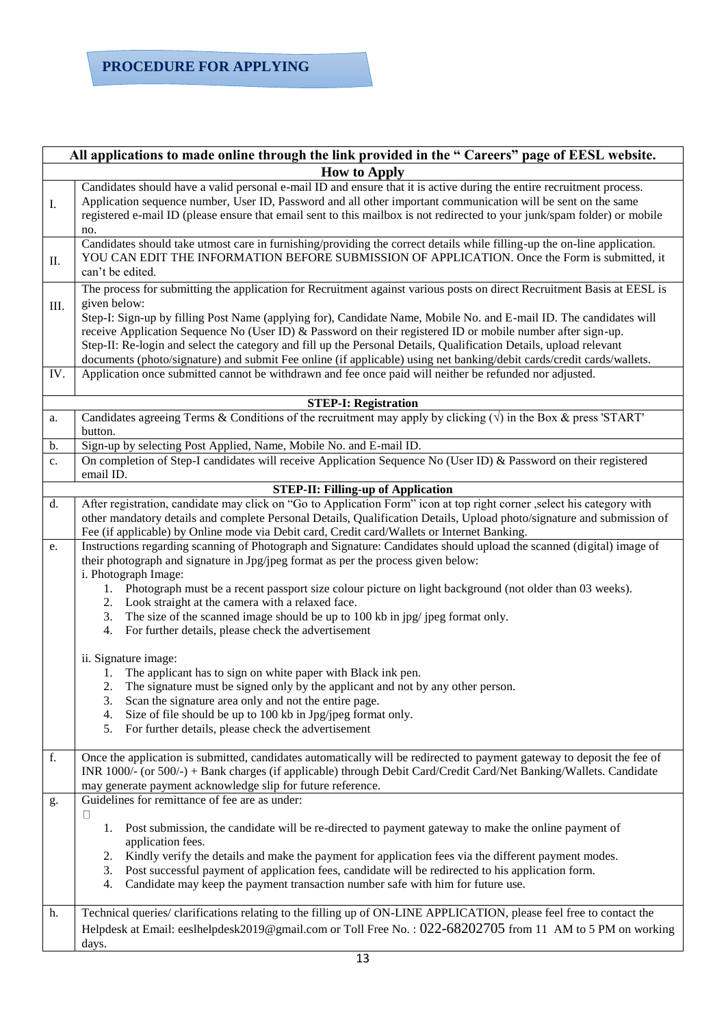## **PROCEDURE FOR APPLYING**

| All applications to made online through the link provided in the "Careers" page of EESL website. |                                                                                                                                                                                                                                                                                                                                                                                                                                                                                                                                                                                                                                                                                                                                                                                                                                                                                                                                                                                                                                                                          |  |  |  |  |  |  |
|--------------------------------------------------------------------------------------------------|--------------------------------------------------------------------------------------------------------------------------------------------------------------------------------------------------------------------------------------------------------------------------------------------------------------------------------------------------------------------------------------------------------------------------------------------------------------------------------------------------------------------------------------------------------------------------------------------------------------------------------------------------------------------------------------------------------------------------------------------------------------------------------------------------------------------------------------------------------------------------------------------------------------------------------------------------------------------------------------------------------------------------------------------------------------------------|--|--|--|--|--|--|
| <b>How to Apply</b>                                                                              |                                                                                                                                                                                                                                                                                                                                                                                                                                                                                                                                                                                                                                                                                                                                                                                                                                                                                                                                                                                                                                                                          |  |  |  |  |  |  |
| I.                                                                                               | Candidates should have a valid personal e-mail ID and ensure that it is active during the entire recruitment process.<br>Application sequence number, User ID, Password and all other important communication will be sent on the same<br>registered e-mail ID (please ensure that email sent to this mailbox is not redirected to your junk/spam folder) or mobile<br>no.                                                                                                                                                                                                                                                                                                                                                                                                                                                                                                                                                                                                                                                                                               |  |  |  |  |  |  |
| Π.                                                                                               | Candidates should take utmost care in furnishing/providing the correct details while filling-up the on-line application.<br>YOU CAN EDIT THE INFORMATION BEFORE SUBMISSION OF APPLICATION. Once the Form is submitted, it<br>can't be edited.                                                                                                                                                                                                                                                                                                                                                                                                                                                                                                                                                                                                                                                                                                                                                                                                                            |  |  |  |  |  |  |
| Ш.<br>IV.                                                                                        | The process for submitting the application for Recruitment against various posts on direct Recruitment Basis at EESL is<br>given below:<br>Step-I: Sign-up by filling Post Name (applying for), Candidate Name, Mobile No. and E-mail ID. The candidates will<br>receive Application Sequence No (User ID) & Password on their registered ID or mobile number after sign-up.<br>Step-II: Re-login and select the category and fill up the Personal Details, Qualification Details, upload relevant<br>documents (photo/signature) and submit Fee online (if applicable) using net banking/debit cards/credit cards/wallets.<br>Application once submitted cannot be withdrawn and fee once paid will neither be refunded nor adjusted.                                                                                                                                                                                                                                                                                                                                   |  |  |  |  |  |  |
| <b>STEP-I: Registration</b>                                                                      |                                                                                                                                                                                                                                                                                                                                                                                                                                                                                                                                                                                                                                                                                                                                                                                                                                                                                                                                                                                                                                                                          |  |  |  |  |  |  |
| a.                                                                                               | Candidates agreeing Terms & Conditions of the recruitment may apply by clicking $(\sqrt{})$ in the Box & press 'START'                                                                                                                                                                                                                                                                                                                                                                                                                                                                                                                                                                                                                                                                                                                                                                                                                                                                                                                                                   |  |  |  |  |  |  |
| b.                                                                                               | button.<br>Sign-up by selecting Post Applied, Name, Mobile No. and E-mail ID.                                                                                                                                                                                                                                                                                                                                                                                                                                                                                                                                                                                                                                                                                                                                                                                                                                                                                                                                                                                            |  |  |  |  |  |  |
| c.                                                                                               | On completion of Step-I candidates will receive Application Sequence No (User ID) & Password on their registered                                                                                                                                                                                                                                                                                                                                                                                                                                                                                                                                                                                                                                                                                                                                                                                                                                                                                                                                                         |  |  |  |  |  |  |
|                                                                                                  | email ID.                                                                                                                                                                                                                                                                                                                                                                                                                                                                                                                                                                                                                                                                                                                                                                                                                                                                                                                                                                                                                                                                |  |  |  |  |  |  |
| d.                                                                                               | <b>STEP-II: Filling-up of Application</b><br>After registration, candidate may click on "Go to Application Form" icon at top right corner , select his category with<br>other mandatory details and complete Personal Details, Qualification Details, Upload photo/signature and submission of<br>Fee (if applicable) by Online mode via Debit card, Credit card/Wallets or Internet Banking.                                                                                                                                                                                                                                                                                                                                                                                                                                                                                                                                                                                                                                                                            |  |  |  |  |  |  |
| e.<br>f.                                                                                         | Instructions regarding scanning of Photograph and Signature: Candidates should upload the scanned (digital) image of<br>their photograph and signature in Jpg/jpeg format as per the process given below:<br>i. Photograph Image:<br>1. Photograph must be a recent passport size colour picture on light background (not older than 03 weeks).<br>2. Look straight at the camera with a relaxed face.<br>The size of the scanned image should be up to 100 kb in jpg/jpeg format only.<br>3.<br>For further details, please check the advertisement<br>4.<br>ii. Signature image:<br>The applicant has to sign on white paper with Black ink pen.<br>1.<br>The signature must be signed only by the applicant and not by any other person.<br>Scan the signature area only and not the entire page.<br>3.<br>Size of file should be up to 100 kb in Jpg/jpeg format only.<br>4.<br>For further details, please check the advertisement<br>5.<br>Once the application is submitted, candidates automatically will be redirected to payment gateway to deposit the fee of |  |  |  |  |  |  |
|                                                                                                  | INR 1000/- (or 500/-) + Bank charges (if applicable) through Debit Card/Credit Card/Net Banking/Wallets. Candidate<br>may generate payment acknowledge slip for future reference.                                                                                                                                                                                                                                                                                                                                                                                                                                                                                                                                                                                                                                                                                                                                                                                                                                                                                        |  |  |  |  |  |  |
| g.<br>h.                                                                                         | Guidelines for remittance of fee are as under:<br>□<br>Post submission, the candidate will be re-directed to payment gateway to make the online payment of<br>1.<br>application fees.<br>Kindly verify the details and make the payment for application fees via the different payment modes.<br>2.<br>Post successful payment of application fees, candidate will be redirected to his application form.<br>3.<br>Candidate may keep the payment transaction number safe with him for future use.<br>4.<br>Technical queries/clarifications relating to the filling up of ON-LINE APPLICATION, please feel free to contact the                                                                                                                                                                                                                                                                                                                                                                                                                                          |  |  |  |  |  |  |
|                                                                                                  | Helpdesk at Email: eeslhelpdesk2019@gmail.com or Toll Free No.: 022-68202705 from 11 AM to 5 PM on working<br>days.                                                                                                                                                                                                                                                                                                                                                                                                                                                                                                                                                                                                                                                                                                                                                                                                                                                                                                                                                      |  |  |  |  |  |  |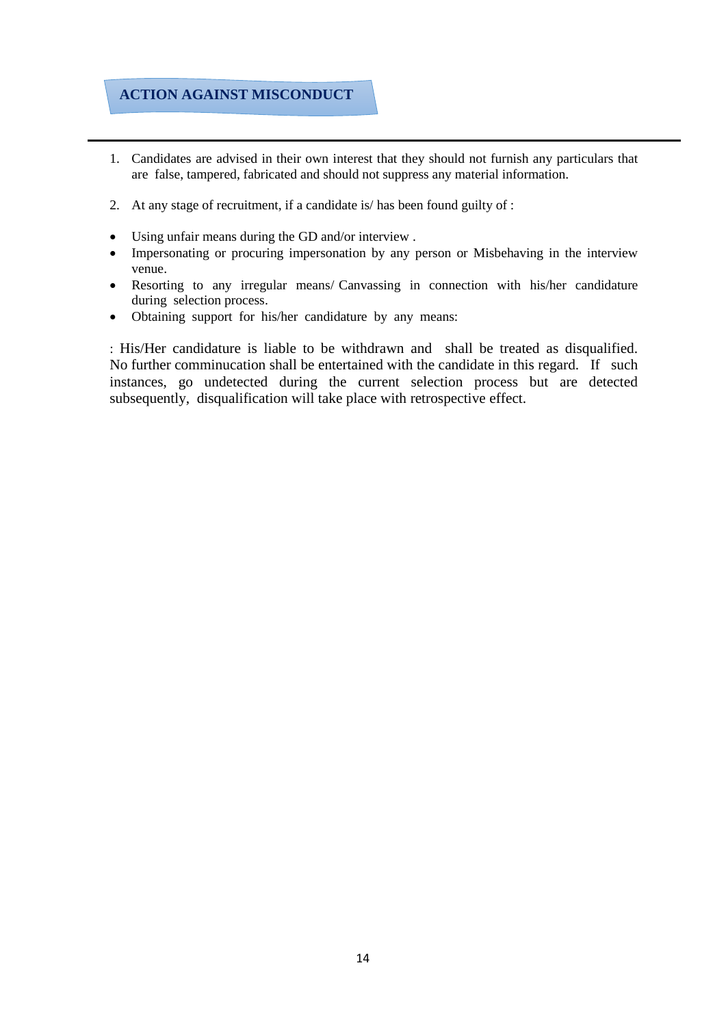### **ACTION AGAINST MISCONDUCT**

- 1. Candidates are advised in their own interest that they should not furnish any particulars that are false, tampered, fabricated and should not suppress any material information.
- 2. At any stage of recruitment, if a candidate is/ has been found guilty of :
- Using unfair means during the GD and/or interview .
- Impersonating or procuring impersonation by any person or Misbehaving in the interview venue.
- Resorting to any irregular means/ Canvassing in connection with his/her candidature during selection process.
- Obtaining support for his/her candidature by any means:

: His/Her candidature is liable to be withdrawn and shall be treated as disqualified. No further comminucation shall be entertained with the candidate in this regard. If such instances, go undetected during the current selection process but are detected subsequently, disqualification will take place with retrospective effect.